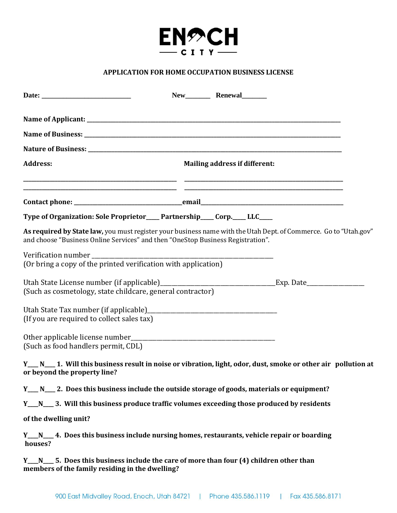

## **APPLICATION FOR HOME OCCUPATION BUSINESS LICENSE**

|                                                                                                        | New Renewal                                                                                                      |
|--------------------------------------------------------------------------------------------------------|------------------------------------------------------------------------------------------------------------------|
|                                                                                                        |                                                                                                                  |
|                                                                                                        |                                                                                                                  |
|                                                                                                        |                                                                                                                  |
| <b>Address:</b>                                                                                        | <b>Mailing address if different:</b>                                                                             |
|                                                                                                        |                                                                                                                  |
| Type of Organization: Sole Proprietor____Partnership____Corp.___LLC____                                |                                                                                                                  |
| and choose "Business Online Services" and then "OneStop Business Registration".                        | As required by State law, you must register your business name with the Utah Dept. of Commerce. Go to "Utah.gov" |
| (Or bring a copy of the printed verification with application)                                         |                                                                                                                  |
| (Such as cosmetology, state childcare, general contractor)                                             |                                                                                                                  |
| (If you are required to collect sales tax)                                                             |                                                                                                                  |
| (Such as food handlers permit, CDL)                                                                    |                                                                                                                  |
| or beyond the property line?                                                                           | Y__N__1. Will this business result in noise or vibration, light, odor, dust, smoke or other air pollution at     |
| Y__ N__ 2. Does this business include the outside storage of goods, materials or equipment?            |                                                                                                                  |
| Y__N__ 3. Will this business produce traffic volumes exceeding those produced by residents             |                                                                                                                  |
| of the dwelling unit?                                                                                  |                                                                                                                  |
| Y__N__ 4. Does this business include nursing homes, restaurants, vehicle repair or boarding<br>houses? |                                                                                                                  |

Y<sub>\_\_\_</sub>N<sub>\_\_\_</sub> 5. Does this business include the care of more than four (4) children other than **members of the family residing in the dwelling?**